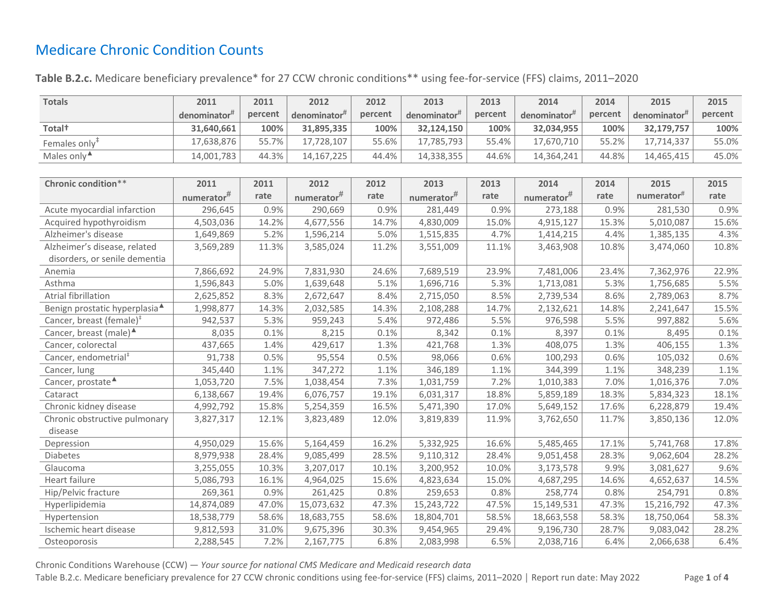## Medicare Chronic Condition Counts

## Table B.2.c. Medicare beneficiary prevalence\* for 27 CCW chronic conditions\*\* using fee-for-service (FFS) claims, 2011–2020

| <b>Totals</b>                             | 2011                      | 2011    | 2012                     | 2012    | 2013                     | 2013    | 2014         | 2014    | 2015                     | 2015    |
|-------------------------------------------|---------------------------|---------|--------------------------|---------|--------------------------|---------|--------------|---------|--------------------------|---------|
|                                           | denominator <sup>#</sup>  | percent | denominator <sup>#</sup> | percent | denominator <sup>#</sup> | percent | denominator# | percent | denominator <sup>#</sup> | percent |
| Total <sup>+</sup>                        | 31,640,661                | 100%    | 31,895,335               | 100%    | 32,124,150               | 100%    | 32,034,955   | 100%    | 32,179,757               | 100%    |
| Females only <sup>#</sup>                 | 17,638,876                | 55.7%   | 17,728,107               | 55.6%   | 17,785,793               | 55.4%   | 17,670,710   | 55.2%   | 17,714,337               | 55.0%   |
| Males only <sup>4</sup>                   | 14,001,783                | 44.3%   | 14, 167, 225             | 44.4%   | 14,338,355               | 44.6%   | 14,364,241   | 44.8%   | 14,465,415               | 45.0%   |
|                                           |                           |         |                          |         |                          |         |              |         |                          |         |
| Chronic condition**                       | 2011                      | 2011    | 2012                     | 2012    | 2013                     | 2013    | 2014         | 2014    | 2015                     | 2015    |
|                                           | $\textsf{numerator}^{\#}$ | rate    | $numerator$ #            | rate    | $numerator$ #            | rate    | numerator#   | rate    | numerator#               | rate    |
| Acute myocardial infarction               | 296,645                   | 0.9%    | 290,669                  | 0.9%    | 281,449                  | 0.9%    | 273,188      | 0.9%    | 281,530                  | 0.9%    |
| Acquired hypothyroidism                   | 4,503,036                 | 14.2%   | 4,677,556                | 14.7%   | 4,830,009                | 15.0%   | 4,915,127    | 15.3%   | 5,010,087                | 15.6%   |
| Alzheimer's disease                       | 1,649,869                 | 5.2%    | 1,596,214                | 5.0%    | 1,515,835                | 4.7%    | 1,414,215    | 4.4%    | 1,385,135                | 4.3%    |
| Alzheimer's disease, related              | 3,569,289                 | 11.3%   | 3,585,024                | 11.2%   | 3,551,009                | 11.1%   | 3,463,908    | 10.8%   | 3,474,060                | 10.8%   |
| disorders, or senile dementia             |                           |         |                          |         |                          |         |              |         |                          |         |
| Anemia                                    | 7,866,692                 | 24.9%   | 7,831,930                | 24.6%   | 7,689,519                | 23.9%   | 7,481,006    | 23.4%   | 7,362,976                | 22.9%   |
| Asthma                                    | 1,596,843                 | 5.0%    | 1,639,648                | 5.1%    | 1,696,716                | 5.3%    | 1,713,081    | 5.3%    | 1,756,685                | 5.5%    |
| Atrial fibrillation                       | 2,625,852                 | 8.3%    | 2,672,647                | 8.4%    | 2,715,050                | 8.5%    | 2,739,534    | 8.6%    | 2,789,063                | 8.7%    |
| Benign prostatic hyperplasia <sup>4</sup> | 1,998,877                 | 14.3%   | 2,032,585                | 14.3%   | 2,108,288                | 14.7%   | 2,132,621    | 14.8%   | 2,241,647                | 15.5%   |
| Cancer, breast (female) $‡$               | 942,537                   | 5.3%    | 959,243                  | 5.4%    | 972,486                  | 5.5%    | 976,598      | 5.5%    | 997,882                  | 5.6%    |
| Cancer, breast (male) <sup>4</sup>        | 8,035                     | 0.1%    | 8,215                    | 0.1%    | 8,342                    | 0.1%    | 8,397        | 0.1%    | 8,495                    | 0.1%    |
| Cancer, colorectal                        | 437,665                   | 1.4%    | 429,617                  | 1.3%    | 421,768                  | 1.3%    | 408,075      | 1.3%    | 406,155                  | 1.3%    |
| Cancer, endometrial <sup>#</sup>          | 91,738                    | 0.5%    | 95,554                   | 0.5%    | 98,066                   | 0.6%    | 100,293      | 0.6%    | 105,032                  | 0.6%    |
| Cancer, lung                              | 345,440                   | 1.1%    | 347,272                  | 1.1%    | 346,189                  | 1.1%    | 344,399      | 1.1%    | 348,239                  | 1.1%    |
| Cancer, prostate <sup>4</sup>             | 1,053,720                 | 7.5%    | 1,038,454                | 7.3%    | 1,031,759                | 7.2%    | 1,010,383    | 7.0%    | 1,016,376                | 7.0%    |
| Cataract                                  | 6,138,667                 | 19.4%   | 6,076,757                | 19.1%   | 6,031,317                | 18.8%   | 5,859,189    | 18.3%   | 5,834,323                | 18.1%   |
| Chronic kidney disease                    | 4,992,792                 | 15.8%   | 5,254,359                | 16.5%   | 5,471,390                | 17.0%   | 5,649,152    | 17.6%   | 6,228,879                | 19.4%   |
| Chronic obstructive pulmonary<br>disease  | 3,827,317                 | 12.1%   | 3,823,489                | 12.0%   | 3,819,839                | 11.9%   | 3,762,650    | 11.7%   | 3,850,136                | 12.0%   |
| Depression                                | 4,950,029                 | 15.6%   | 5,164,459                | 16.2%   | 5,332,925                | 16.6%   | 5,485,465    | 17.1%   | 5,741,768                | 17.8%   |
| Diabetes                                  | 8,979,938                 | 28.4%   | 9,085,499                | 28.5%   | 9,110,312                | 28.4%   | 9,051,458    | 28.3%   | 9,062,604                | 28.2%   |
| Glaucoma                                  | 3,255,055                 | 10.3%   | 3,207,017                | 10.1%   | 3,200,952                | 10.0%   | 3,173,578    | 9.9%    | 3,081,627                | 9.6%    |
| Heart failure                             | 5,086,793                 | 16.1%   | 4,964,025                | 15.6%   | 4,823,634                | 15.0%   | 4,687,295    | 14.6%   | 4,652,637                | 14.5%   |
| Hip/Pelvic fracture                       | 269,361                   | 0.9%    | 261,425                  | 0.8%    | 259,653                  | 0.8%    | 258,774      | 0.8%    | 254,791                  | 0.8%    |
| Hyperlipidemia                            | 14,874,089                | 47.0%   | 15,073,632               | 47.3%   | 15,243,722               | 47.5%   | 15,149,531   | 47.3%   | 15,216,792               | 47.3%   |
| Hypertension                              | 18,538,779                | 58.6%   | 18,683,755               | 58.6%   | 18,804,701               | 58.5%   | 18,663,558   | 58.3%   | 18,750,064               | 58.3%   |
| Ischemic heart disease                    | 9,812,593                 | 31.0%   | 9,675,396                | 30.3%   | 9,454,965                | 29.4%   | 9,196,730    | 28.7%   | 9,083,042                | 28.2%   |
| Osteoporosis                              | 2,288,545                 | 7.2%    | 2,167,775                | 6.8%    | 2,083,998                | 6.5%    | 2,038,716    | 6.4%    | 2,066,638                | 6.4%    |

Chronic Conditions Warehouse (CCW) — *Your source for national CMS Medicare and Medicaid research data*

Table B.2.c. Medicare beneficiary prevalence for 27 CCW chronic conditions using fee-for-service (FFS) claims, 2011–2020 │ Report run date: May 2022 Page **1** of **4**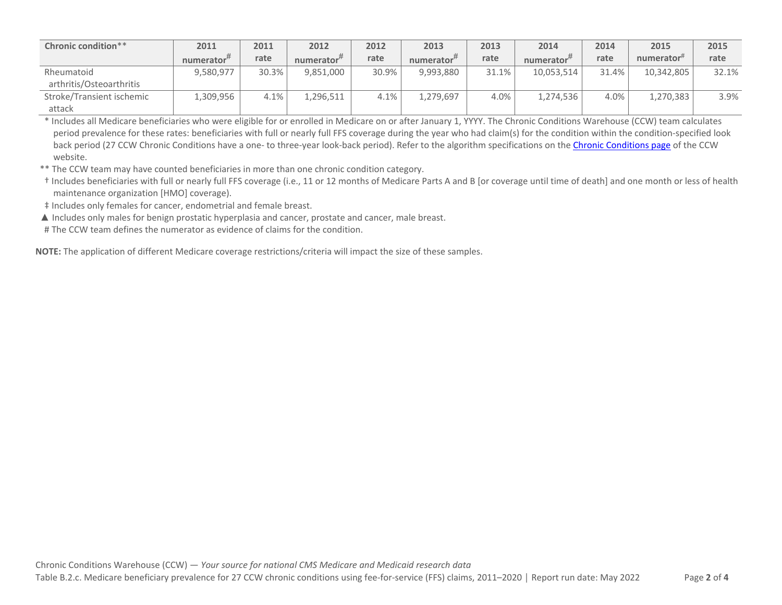| Chronic condition**                    | 2011                   | 2011  | 2012          | 2012  | 2013          | 2013  | 2014          | 2014  | 2015            | 2015  |
|----------------------------------------|------------------------|-------|---------------|-------|---------------|-------|---------------|-------|-----------------|-------|
|                                        | numerator <sup>#</sup> | rate  | $numerator$ # | rate  | numerator $#$ | rate  | numerator $#$ | rate  | numerator $\pi$ | rate  |
| Rheumatoid<br>arthritis/Osteoarthritis | 9,580,977              | 30.3% | 9,851,000     | 30.9% | 9,993,880     | 31.1% | 10,053,514    | 31.4% | 10,342,805      | 32.1% |
| Stroke/Transient ischemic<br>attack    | .,309,956              | 4.1%  | 1,296,511     | 4.1%  | 1,279,697     | 4.0%  | 1,274,536     | 4.0%  | 1,270,383       | 3.9%  |

\* Includes all Medicare beneficiaries who were eligible for or enrolled in Medicare on or after January 1, YYYY. The Chronic Conditions Warehouse (CCW) team calculates period prevalence for these rates: beneficiaries with full or nearly full FFS coverage during the year who had claim(s) for the condition within the condition-specified look back period (27 CCW Chronic Conditions have a one- to three-year look-back period). Refer to the algorithm specifications on th[e Chronic Conditions page](https://www2.ccwdata.org/web/guest/condition-categories-chronic) of the CCW website.

\*\* The CCW team may have counted beneficiaries in more than one chronic condition category.

† Includes beneficiaries with full or nearly full FFS coverage (i.e., 11 or 12 months of Medicare Parts A and B [or coverage until time of death] and one month or less of health maintenance organization [HMO] coverage).

‡ Includes only females for cancer, endometrial and female breast.

▲ Includes only males for benign prostatic hyperplasia and cancer, prostate and cancer, male breast.

# The CCW team defines the numerator as evidence of claims for the condition.

**NOTE:** The application of different Medicare coverage restrictions/criteria will impact the size of these samples.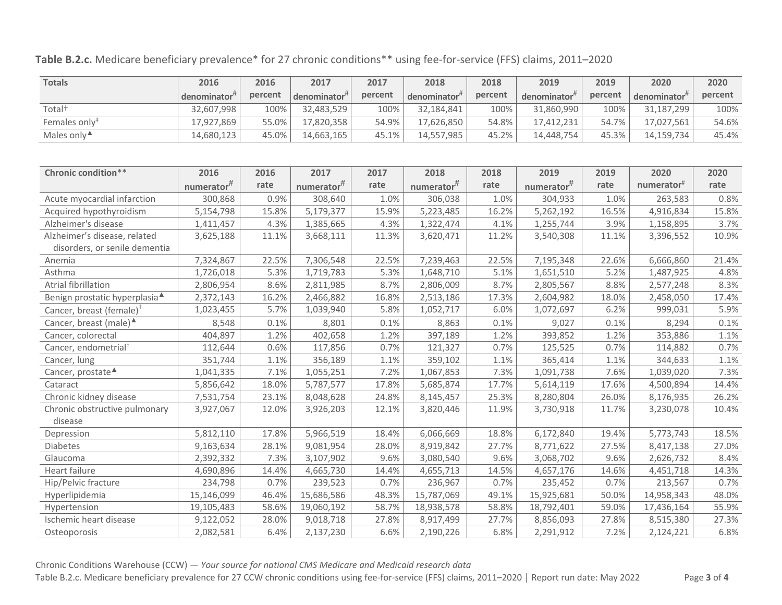|  | Table B.2.c. Medicare beneficiary prevalence* for 27 chronic conditions** using fee-for-service (FFS) claims, 2011-2020 |
|--|-------------------------------------------------------------------------------------------------------------------------|
|--|-------------------------------------------------------------------------------------------------------------------------|

| <b>Totals</b>                             | 2016                      | 2016    | 2017                      | 2017    | 2018          | 2018    | 2019                      | 2019    | 2020                   | 2020    |
|-------------------------------------------|---------------------------|---------|---------------------------|---------|---------------|---------|---------------------------|---------|------------------------|---------|
|                                           | denominator <sup>#</sup>  | percent | denominator <sup>#</sup>  | percent | denominator#  | percent | denominator <sup>#</sup>  | percent | denominator#           | percent |
| Total <sup>+</sup>                        | 32,607,998                | 100%    | 32,483,529                | 100%    | 32,184,841    | 100%    | 31,860,990                | 100%    | 31,187,299             | 100%    |
| Females only <sup>#</sup>                 | 17,927,869                | 55.0%   | 17,820,358                | 54.9%   | 17,626,850    | 54.8%   | 17,412,231                | 54.7%   | 17,027,561             | 54.6%   |
| Males only <sup>4</sup>                   | 14,680,123                | 45.0%   | 14,663,165                | 45.1%   | 14,557,985    | 45.2%   | 14,448,754                | 45.3%   | 14,159,734             | 45.4%   |
|                                           |                           |         |                           |         |               |         |                           |         |                        |         |
| Chronic condition**                       | 2016                      | 2016    | 2017                      | 2017    | 2018          | 2018    | 2019                      | 2019    | 2020                   | 2020    |
|                                           | $\textsf{numerator}^{\#}$ | rate    | $\textsf{numerator}^{\#}$ | rate    | $numerator$ # | rate    | $\textsf{numerator}^{\#}$ | rate    | numerator <sup>#</sup> | rate    |
| Acute myocardial infarction               | 300,868                   | 0.9%    | 308,640                   | 1.0%    | 306,038       | 1.0%    | 304,933                   | 1.0%    | 263,583                | 0.8%    |
| Acquired hypothyroidism                   | 5,154,798                 | 15.8%   | 5,179,377                 | 15.9%   | 5,223,485     | 16.2%   | 5,262,192                 | 16.5%   | 4,916,834              | 15.8%   |
| Alzheimer's disease                       | 1,411,457                 | 4.3%    | 1,385,665                 | 4.3%    | 1,322,474     | 4.1%    | 1,255,744                 | 3.9%    | 1,158,895              | 3.7%    |
| Alzheimer's disease, related              | 3,625,188                 | 11.1%   | 3,668,111                 | 11.3%   | 3,620,471     | 11.2%   | 3,540,308                 | 11.1%   | 3,396,552              | 10.9%   |
| disorders, or senile dementia             |                           |         |                           |         |               |         |                           |         |                        |         |
| Anemia                                    | 7,324,867                 | 22.5%   | 7,306,548                 | 22.5%   | 7,239,463     | 22.5%   | 7,195,348                 | 22.6%   | 6,666,860              | 21.4%   |
| Asthma                                    | 1,726,018                 | 5.3%    | 1,719,783                 | 5.3%    | 1,648,710     | 5.1%    | 1,651,510                 | 5.2%    | 1,487,925              | 4.8%    |
| Atrial fibrillation                       | 2,806,954                 | 8.6%    | 2,811,985                 | 8.7%    | 2,806,009     | 8.7%    | 2,805,567                 | 8.8%    | 2,577,248              | 8.3%    |
| Benign prostatic hyperplasia <sup>4</sup> | 2,372,143                 | 16.2%   | 2,466,882                 | 16.8%   | 2,513,186     | 17.3%   | 2,604,982                 | 18.0%   | 2,458,050              | 17.4%   |
| Cancer, breast (female) <sup>#</sup>      | 1,023,455                 | 5.7%    | 1,039,940                 | 5.8%    | 1,052,717     | 6.0%    | 1,072,697                 | 6.2%    | 999,031                | 5.9%    |
| Cancer, breast (male) <sup>▲</sup>        | 8,548                     | 0.1%    | 8,801                     | 0.1%    | 8,863         | 0.1%    | 9,027                     | 0.1%    | 8,294                  | 0.1%    |
| Cancer, colorectal                        | 404,897                   | 1.2%    | 402,658                   | 1.2%    | 397,189       | 1.2%    | 393,852                   | 1.2%    | 353,886                | 1.1%    |
| Cancer, endometrial <sup>#</sup>          | 112,644                   | 0.6%    | 117,856                   | 0.7%    | 121,327       | 0.7%    | 125,525                   | 0.7%    | 114,882                | 0.7%    |
| Cancer, lung                              | 351,744                   | 1.1%    | 356,189                   | 1.1%    | 359,102       | 1.1%    | 365,414                   | 1.1%    | 344,633                | 1.1%    |
| Cancer, prostate <sup>4</sup>             | 1,041,335                 | 7.1%    | 1,055,251                 | 7.2%    | 1,067,853     | 7.3%    | 1,091,738                 | 7.6%    | 1,039,020              | 7.3%    |
| Cataract                                  | 5,856,642                 | 18.0%   | 5,787,577                 | 17.8%   | 5,685,874     | 17.7%   | 5,614,119                 | 17.6%   | 4,500,894              | 14.4%   |
| Chronic kidney disease                    | 7,531,754                 | 23.1%   | 8,048,628                 | 24.8%   | 8,145,457     | 25.3%   | 8,280,804                 | 26.0%   | 8,176,935              | 26.2%   |
| Chronic obstructive pulmonary             | 3,927,067                 | 12.0%   | 3,926,203                 | 12.1%   | 3,820,446     | 11.9%   | 3,730,918                 | 11.7%   | 3,230,078              | 10.4%   |
| disease                                   |                           |         |                           |         |               |         |                           |         |                        |         |
| Depression                                | 5,812,110                 | 17.8%   | 5,966,519                 | 18.4%   | 6,066,669     | 18.8%   | 6,172,840                 | 19.4%   | 5,773,743              | 18.5%   |
| Diabetes                                  | 9,163,634                 | 28.1%   | 9,081,954                 | 28.0%   | 8,919,842     | 27.7%   | 8,771,622                 | 27.5%   | 8,417,138              | 27.0%   |
| Glaucoma                                  | 2,392,332                 | 7.3%    | 3,107,902                 | 9.6%    | 3,080,540     | 9.6%    | 3,068,702                 | 9.6%    | 2,626,732              | 8.4%    |
| Heart failure                             | 4,690,896                 | 14.4%   | 4,665,730                 | 14.4%   | 4,655,713     | 14.5%   | 4,657,176                 | 14.6%   | 4,451,718              | 14.3%   |
| Hip/Pelvic fracture                       | 234,798                   | 0.7%    | 239,523                   | 0.7%    | 236,967       | 0.7%    | 235,452                   | 0.7%    | 213,567                | 0.7%    |
| Hyperlipidemia                            | 15,146,099                | 46.4%   | 15,686,586                | 48.3%   | 15,787,069    | 49.1%   | 15,925,681                | 50.0%   | 14,958,343             | 48.0%   |
| Hypertension                              | 19,105,483                | 58.6%   | 19,060,192                | 58.7%   | 18,938,578    | 58.8%   | 18,792,401                | 59.0%   | 17,436,164             | 55.9%   |
| Ischemic heart disease                    | 9,122,052                 | 28.0%   | 9,018,718                 | 27.8%   | 8,917,499     | 27.7%   | 8,856,093                 | 27.8%   | 8,515,380              | 27.3%   |
| Osteoporosis                              | 2,082,581                 | 6.4%    | 2,137,230                 | 6.6%    | 2,190,226     | 6.8%    | 2,291,912                 | 7.2%    | 2,124,221              | 6.8%    |

Chronic Conditions Warehouse (CCW) — *Your source for national CMS Medicare and Medicaid research data*

Table B.2.c. Medicare beneficiary prevalence for 27 CCW chronic conditions using fee-for-service (FFS) claims, 2011–2020 │ Report run date: May 2022 Page **3** of **4**